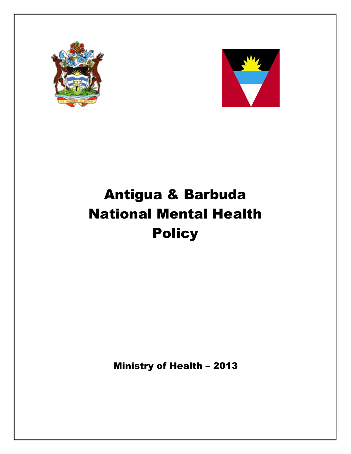



# Antigua & Barbuda National Mental Health **Policy**

Ministry of Health – 2013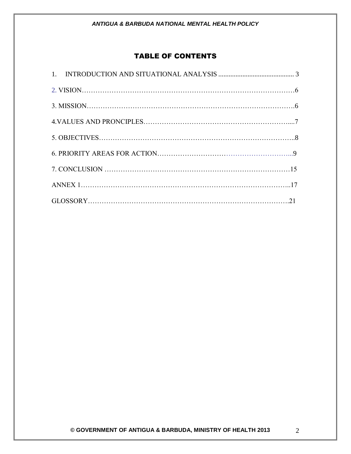# TABLE OF CONTENTS

<span id="page-1-0"></span>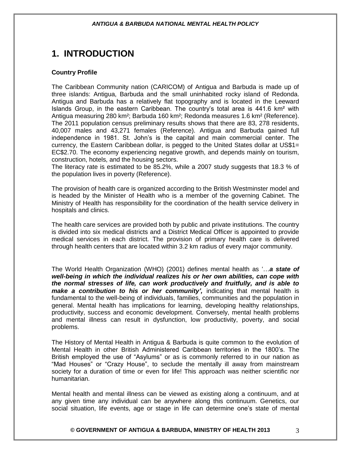# **1. INTRODUCTION**

#### **Country Profile**

The Caribbean Community nation (CARICOM) of Antigua and Barbuda is made up of three islands: Antigua, Barbuda and the small uninhabited rocky island of Redonda. Antigua and Barbuda has a relatively flat topography and is located in the Leeward Islands Group, in the eastern Caribbean. The country's total area is 441.6 km<sup>2</sup> with Antigua measuring 280 km²; Barbuda 160 km²; Redonda measures 1.6 km² (Reference). The 2011 population census preliminary results shows that there are 83, 278 residents, 40,007 males and 43,271 females (Reference). Antigua and Barbuda gained full independence in 1981. St. John's is the capital and main commercial center. The currency, the Eastern Caribbean dollar, is pegged to the United States dollar at US\$1= EC\$2.70. The economy experiencing negative growth, and depends mainly on tourism, construction, hotels, and the housing sectors.

The literacy rate is estimated to be 85.2%, while a 2007 study suggests that 18.3 % of the population lives in poverty (Reference).

The provision of health care is organized according to the British Westminster model and is headed by the Minister of Health who is a member of the governing Cabinet. The Ministry of Health has responsibility for the coordination of the health service delivery in hospitals and clinics.

The health care services are provided both by public and private institutions. The country is divided into six medical districts and a District Medical Officer is appointed to provide medical services in each district. The provision of primary health care is delivered through health centers that are located within 3.2 km radius of every major community.

The World Health Organization (WHO) (2001) defines mental health as '…*a state of well-being in which the individual realizes his or her own abilities, can cope with the normal stresses of life, can work productively and fruitfully, and is able to make a contribution to his or her community'*, indicating that mental health is fundamental to the well-being of individuals, families, communities and the population in general. Mental health has implications for learning, developing healthy relationships, productivity, success and economic development. Conversely, mental health problems and mental illness can result in dysfunction, low productivity, poverty, and social problems.

The History of Mental Health in Antigua & Barbuda is quite common to the evolution of Mental Health in other British Administered Caribbean territories in the 1800's. The British employed the use of "Asylums" or as is commonly referred to in our nation as "Mad Houses" or "Crazy House", to seclude the mentally ill away from mainstream society for a duration of time or even for life! This approach was neither scientific nor humanitarian.

Mental health and mental illness can be viewed as existing along a continuum, and at any given time any individual can be anywhere along this continuum. Genetics, our social situation, life events, age or stage in life can determine one's state of mental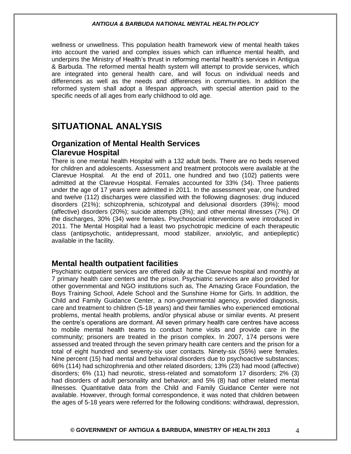wellness or unwellness. This population health framework view of mental health takes into account the varied and complex issues which can influence mental health, and underpins the Ministry of Health's thrust in reforming mental health's services in Antigua & Barbuda. The reformed mental health system will attempt to provide services, which are integrated into general health care, and will focus on individual needs and differences as well as the needs and differences in communities. In addition the reformed system shall adopt a lifespan approach, with special attention paid to the specific needs of all ages from early childhood to old age.

# **SITUATIONAL ANALYSIS**

# **Organization of Mental Health Services Clarevue Hospital**

There is one mental health Hospital with a 132 adult beds. There are no beds reserved for children and adolescents. Assessment and treatment protocols were available at the Clarevue Hospital. At the end of 2011, one hundred and two (102) patients were admitted at the Clarevue Hospital. Females accounted for 33% (34). Three patients under the age of 17 years were admitted in 2011. In the assessment year, one hundred and twelve (112) discharges were classified with the following diagnoses: drug induced disorders (21%); schizophrenia, schizotypal and delusional disorders (39%); mood (affective) disorders (20%); suicide attempts (3%); and other mental illnesses (7%). Of the discharges, 30% (34) were females. Psychosocial interventions were introduced in 2011. The Mental Hospital had a least two psychotropic medicine of each therapeutic class (antipsychotic, antidepressant, mood stabilizer, anxiolytic, and antiepileptic) available in the facility.

### **Mental health outpatient facilities**

Psychiatric outpatient services are offered daily at the Clarevue hospital and monthly at 7 primary health care centers and the prison. Psychiatric services are also provided for other governmental and NGO institutions such as, The Amazing Grace Foundation, the Boys Training School, Adele School and the Sunshine Home for Girls. In addition, the Child and Family Guidance Center, a non-governmental agency, provided diagnosis, care and treatment to children (5-18 years) and their families who experienced emotional problems, mental health problems, and/or physical abuse or similar events. At present the centre's operations are dormant. All seven primary health care centres have access to mobile mental health teams to conduct home visits and provide care in the community; prisoners are treated in the prison complex. In 2007, 174 persons were assessed and treated through the seven primary health care centers and the prison for a total of eight hundred and seventy-six user contacts. Ninety-six (55%) were females. Nine percent (15) had mental and behavioral disorders due to psychoactive substances; 66% (114) had schizophrenia and other related disorders; 13% (23) had mood (affective) disorders; 6% (11) had neurotic, stress-related and somatoform 17 disorders; 2% (3) had disorders of adult personality and behavior; and 5% (8) had other related mental illnesses. Quantitative data from the Child and Family Guidance Center were not available. However, through formal correspondence, it was noted that children between the ages of 5-18 years were referred for the following conditions: withdrawal, depression,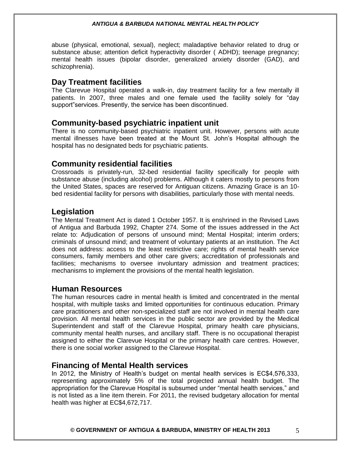abuse (physical, emotional, sexual), neglect; maladaptive behavior related to drug or substance abuse; attention deficit hyperactivity disorder ( ADHD); teenage pregnancy; mental health issues (bipolar disorder, generalized anxiety disorder (GAD), and schizophrenia).

# **Day Treatment facilities**

The Clarevue Hospital operated a walk-in, day treatment facility for a few mentally ill patients. In 2007, three males and one female used the facility solely for "day support"services. Presently, the service has been discontinued.

### **Community-based psychiatric inpatient unit**

There is no community-based psychiatric inpatient unit. However, persons with acute mental illnesses have been treated at the Mount St. John's Hospital although the hospital has no designated beds for psychiatric patients.

### **Community residential facilities**

Crossroads is privately-run, 32-bed residential facility specifically for people with substance abuse (including alcohol) problems. Although it caters mostly to persons from the United States, spaces are reserved for Antiguan citizens. Amazing Grace is an 10 bed residential facility for persons with disabilities, particularly those with mental needs.

### **Legislation**

The Mental Treatment Act is dated 1 October 1957. It is enshrined in the Revised Laws of Antigua and Barbuda 1992, Chapter 274. Some of the issues addressed in the Act relate to: Adjudication of persons of unsound mind; Mental Hospital; interim orders; criminals of unsound mind; and treatment of voluntary patients at an institution. The Act does not address: access to the least restrictive care; rights of mental health service consumers, family members and other care givers; accreditation of professionals and facilities; mechanisms to oversee involuntary admission and treatment practices; mechanisms to implement the provisions of the mental health legislation.

### **Human Resources**

The human resources cadre in mental health is limited and concentrated in the mental hospital, with multiple tasks and limited opportunities for continuous education. Primary care practitioners and other non-specialized staff are not involved in mental health care provision. All mental health services in the public sector are provided by the Medical Superintendent and staff of the Clarevue Hospital, primary health care physicians, community mental health nurses, and ancillary staff. There is no occupational therapist assigned to either the Clarevue Hospital or the primary health care centres. However, there is one social worker assigned to the Clarevue Hospital.

### **Financing of Mental Health services**

In 2012, the Ministry of Health's budget on mental health services is EC\$4,576,333, representing approximately 5% of the total projected annual health budget. The appropriation for the Clarevue Hospital is subsumed under "mental health services," and is not listed as a line item therein. For 2011, the revised budgetary allocation for mental health was higher at EC\$4,672,717.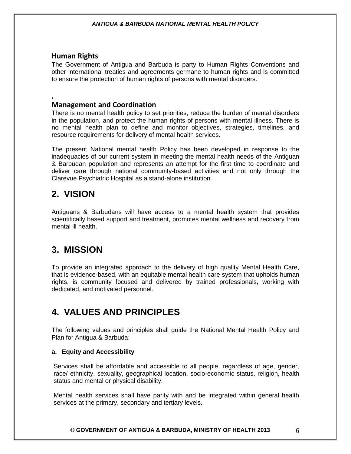### **Human Rights**

,

The Government of Antigua and Barbuda is party to Human Rights Conventions and other international treaties and agreements germane to human rights and is committed to ensure the protection of human rights of persons with mental disorders.

### **Management and Coordination**

There is no mental health policy to set priorities, reduce the burden of mental disorders in the population, and protect the human rights of persons with mental illness. There is no mental health plan to define and monitor objectives, strategies, timelines, and resource requirements for delivery of mental health services.

The present National mental health Policy has been developed in response to the inadequacies of our current system in meeting the mental health needs of the Antiguan & Barbudan population and represents an attempt for the first time to coordinate and deliver care through national community-based activities and not only through the Clarevue Psychiatric Hospital as a stand-alone institution.

# **2. VISION**

Antiguans & Barbudans will have access to a mental health system that provides scientifically based support and treatment, promotes mental wellness and recovery from mental ill health.

# <span id="page-5-0"></span>**3. MISSION**

To provide an integrated approach to the delivery of high quality Mental Health Care, that is evidence-based, with an equitable mental health care system that upholds human rights, is community focused and delivered by trained professionals, working with dedicated, and motivated personnel.

# **4. VALUES AND PRINCIPLES**

The following values and principles shall guide the National Mental Health Policy and Plan for Antigua & Barbuda:

#### **a. Equity and Accessibility**

Services shall be affordable and accessible to all people, regardless of age, gender, race/ ethnicity, sexuality, geographical location, socio-economic status, religion, health status and mental or physical disability.

Mental health services shall have parity with and be integrated within general health services at the primary, secondary and tertiary levels.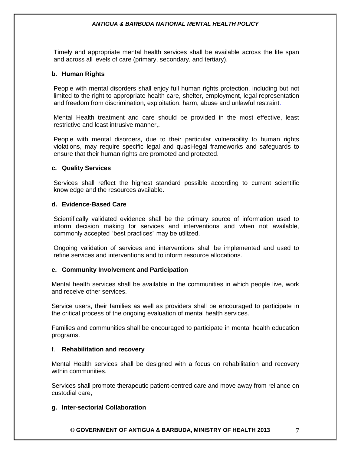Timely and appropriate mental health services shall be available across the life span and across all levels of care (primary, secondary, and tertiary).

#### **b. Human Rights**

People with mental disorders shall enjoy full human rights protection, including but not limited to the right to appropriate health care, shelter, employment, legal representation and freedom from discrimination, exploitation, harm, abuse and unlawful restraint.

Mental Health treatment and care should be provided in the most effective, least restrictive and least intrusive manner,.

People with mental disorders, due to their particular vulnerability to human rights violations, may require specific legal and quasi-legal frameworks and safeguards to ensure that their human rights are promoted and protected.

#### **c. Quality Services**

Services shall reflect the highest standard possible according to current scientific knowledge and the resources available.

#### **d. Evidence-Based Care**

Scientifically validated evidence shall be the primary source of information used to inform decision making for services and interventions and when not available, commonly accepted "best practices" may be utilized.

Ongoing validation of services and interventions shall be implemented and used to refine services and interventions and to inform resource allocations.

#### **e. Community Involvement and Participation**

Mental health services shall be available in the communities in which people live, work and receive other services.

Service users, their families as well as providers shall be encouraged to participate in the critical process of the ongoing evaluation of mental health services.

Families and communities shall be encouraged to participate in mental health education programs.

#### f. **Rehabilitation and recovery**

Mental Health services shall be designed with a focus on rehabilitation and recovery within communities.

Services shall promote therapeutic patient-centred care and move away from reliance on custodial care,

#### **g. Inter-sectorial Collaboration**

**© GOVERNMENT OF ANTIGUA & BARBUDA, MINISTRY OF HEALTH 2013** 7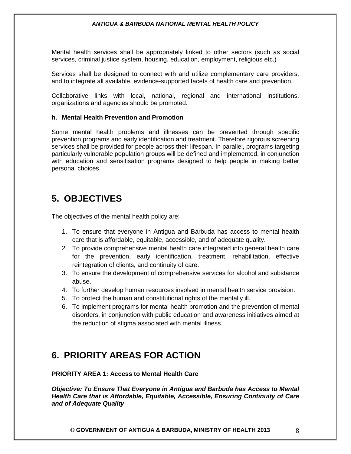Mental health services shall be appropriately linked to other sectors (such as social services, criminal justice system, housing, education, employment, religious etc.)

Services shall be designed to connect with and utilize complementary care providers, and to integrate all available, evidence-supported facets of health care and prevention.

Collaborative links with local, national, regional and international institutions, organizations and agencies should be promoted.

#### **h. Mental Health Prevention and Promotion**

Some mental health problems and illnesses can be prevented through specific prevention programs and early identification and treatment. Therefore rigorous screening services shall be provided for people across their lifespan. In parallel, programs targeting particularly vulnerable population groups will be defined and implemented, in conjunction with education and sensitisation programs designed to help people in making better personal choices.

# <span id="page-7-0"></span>**5. OBJECTIVES**

The objectives of the mental health policy are:

- 1. To ensure that everyone in Antigua and Barbuda has access to mental health care that is affordable, equitable, accessible, and of adequate quality.
- 2. To provide comprehensive mental health care integrated into general health care for the prevention, early identification, treatment, rehabilitation, effective reintegration of clients, and continuity of care.
- 3. To ensure the development of comprehensive services for alcohol and substance abuse.
- 4. To further develop human resources involved in mental health service provision.
- 5. To protect the human and constitutional rights of the mentally ill.
- 6. To implement programs for mental health promotion and the prevention of mental disorders, in conjunction with public education and awareness initiatives aimed at the reduction of stigma associated with mental illness.

# **6. PRIORITY AREAS FOR ACTION**

**PRIORITY AREA 1: Access to Mental Health Care**

*Objective: To Ensure That Everyone in Antigua and Barbuda has Access to Mental Health Care that is Affordable, Equitable, Accessible, Ensuring Continuity of Care and of Adequate Quality*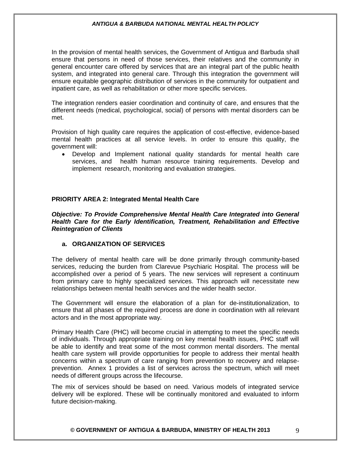In the provision of mental health services, the Government of Antigua and Barbuda shall ensure that persons in need of those services, their relatives and the community in general encounter care offered by services that are an integral part of the public health system, and integrated into general care. Through this integration the government will ensure equitable geographic distribution of services in the community for outpatient and inpatient care, as well as rehabilitation or other more specific services.

The integration renders easier coordination and continuity of care, and ensures that the different needs (medical, psychological, social) of persons with mental disorders can be met.

Provision of high quality care requires the application of cost-effective, evidence-based mental health practices at all service levels. In order to ensure this quality, the government will:

 Develop and Implement national quality standards for mental health care services, and health human resource training requirements. Develop and implement research, monitoring and evaluation strategies.

#### **PRIORITY AREA 2: Integrated Mental Health Care**

*Objective: To Provide Comprehensive Mental Health Care Integrated into General Health Care for the Early Identification, Treatment, Rehabilitation and Effective Reintegration of Clients*

#### **a. ORGANIZATION OF SERVICES**

The delivery of mental health care will be done primarily through community-based services, reducing the burden from Clarevue Psychiaric Hospital. The process will be accomplished over a period of 5 years. The new services will represent a continuum from primary care to highly specialized services. This approach will necessitate new relationships between mental health services and the wider health sector.

The Government will ensure the elaboration of a plan for de-institutionalization, to ensure that all phases of the required process are done in coordination with all relevant actors and in the most appropriate way.

Primary Health Care (PHC) will become crucial in attempting to meet the specific needs of individuals. Through appropriate training on key mental health issues, PHC staff will be able to identify and treat some of the most common mental disorders. The mental health care system will provide opportunities for people to address their mental health concerns within a spectrum of care ranging from prevention to recovery and relapseprevention. Annex 1 provides a list of services across the spectrum, which will meet needs of different groups across the lifecourse.

The mix of services should be based on need. Various models of integrated service delivery will be explored. These will be continually monitored and evaluated to inform future decision-making.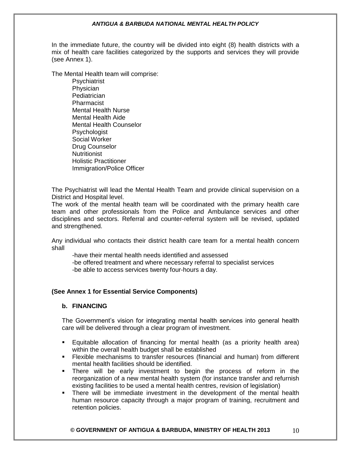In the immediate future, the country will be divided into eight (8) health districts with a mix of health care facilities categorized by the supports and services they will provide (see Annex 1).

The Mental Health team will comprise:

**Psychiatrist** Physician **Pediatrician** Pharmacist Mental Health Nurse Mental Health Aide Mental Health Counselor Psychologist Social Worker Drug Counselor **Nutritionist** Holistic Practitioner Immigration/Police Officer

The Psychiatrist will lead the Mental Health Team and provide clinical supervision on a District and Hospital level.

The work of the mental health team will be coordinated with the primary health care team and other professionals from the Police and Ambulance services and other disciplines and sectors. Referral and counter-referral system will be revised, updated and strengthened.

Any individual who contacts their district health care team for a mental health concern shall

-have their mental health needs identified and assessed

-be offered treatment and where necessary referral to specialist services -be able to access services twenty four-hours a day.

#### **(See Annex 1 for Essential Service Components)**

#### **b. FINANCING**

The Government's vision for integrating mental health services into general health care will be delivered through a clear program of investment.

- Equitable allocation of financing for mental health (as a priority health area) within the overall health budget shall be established
- Flexible mechanisms to transfer resources (financial and human) from different mental health facilities should be identified.
- There will be early investment to begin the process of reform in the reorganization of a new mental health system (for instance transfer and refurnish existing facilities to be used a mental health centres, revision of legislation)
- There will be immediate investment in the development of the mental health human resource capacity through a major program of training, recruitment and retention policies.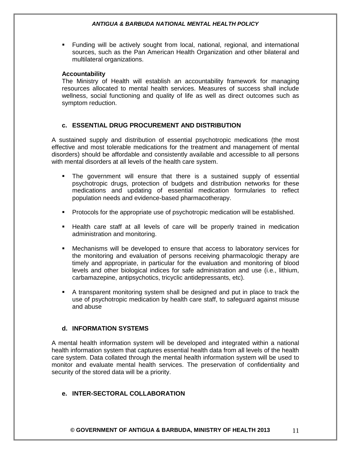Funding will be actively sought from local, national, regional, and international sources, such as the Pan American Health Organization and other bilateral and multilateral organizations.

#### **Accountability**

The Ministry of Health will establish an accountability framework for managing resources allocated to mental health services. Measures of success shall include wellness, social functioning and quality of life as well as direct outcomes such as symptom reduction.

#### **c. ESSENTIAL DRUG PROCUREMENT AND DISTRIBUTION**

A sustained supply and distribution of essential psychotropic medications (the most effective and most tolerable medications for the treatment and management of mental disorders) should be affordable and consistently available and accessible to all persons with mental disorders at all levels of the health care system.

- The government will ensure that there is a sustained supply of essential psychotropic drugs, protection of budgets and distribution networks for these medications and updating of essential medication formularies to reflect population needs and evidence-based pharmacotherapy.
- **Protocols for the appropriate use of psychotropic medication will be established.**
- Health care staff at all levels of care will be properly trained in medication administration and monitoring.
- Mechanisms will be developed to ensure that access to laboratory services for the monitoring and evaluation of persons receiving pharmacologic therapy are timely and appropriate, in particular for the evaluation and monitoring of blood levels and other biological indices for safe administration and use (i.e., lithium, carbamazepine, antipsychotics, tricyclic antidepressants, etc).
- A transparent monitoring system shall be designed and put in place to track the use of psychotropic medication by health care staff, to safeguard against misuse and abuse

#### **d. INFORMATION SYSTEMS**

A mental health information system will be developed and integrated within a national health information system that captures essential health data from all levels of the health care system. Data collated through the mental health information system will be used to monitor and evaluate mental health services. The preservation of confidentiality and security of the stored data will be a priority.

### **e. INTER-SECTORAL COLLABORATION**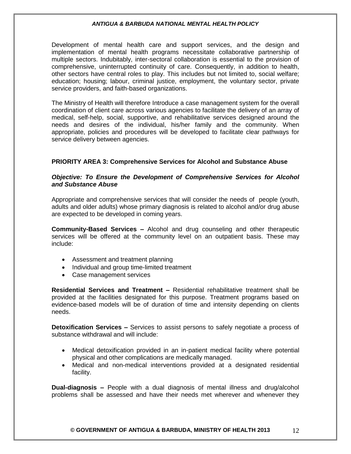Development of mental health care and support services, and the design and implementation of mental health programs necessitate collaborative partnership of multiple sectors. Indubitably, inter-sectoral collaboration is essential to the provision of comprehensive, uninterrupted continuity of care. Consequently, in addition to health, other sectors have central roles to play. This includes but not limited to, social welfare; education; housing; labour, criminal justice, employment, the voluntary sector, private service providers, and faith-based organizations.

The Ministry of Health will therefore Introduce a case management system for the overall coordination of client care across various agencies to facilitate the delivery of an array of medical, self-help, social, supportive, and rehabilitative services designed around the needs and desires of the individual, his/her family and the community. When appropriate, policies and procedures will be developed to facilitate clear pathways for service delivery between agencies.

#### **PRIORITY AREA 3: Comprehensive Services for Alcohol and Substance Abuse**

#### *Objective: To Ensure the Development of Comprehensive Services for Alcohol and Substance Abuse*

Appropriate and comprehensive services that will consider the needs of people (youth, adults and older adults) whose primary diagnosis is related to alcohol and/or drug abuse are expected to be developed in coming years.

**Community-Based Services –** Alcohol and drug counseling and other therapeutic services will be offered at the community level on an outpatient basis. These may include:

- Assessment and treatment planning
- Individual and group time-limited treatment
- Case management services

**Residential Services and Treatment –** Residential rehabilitative treatment shall be provided at the facilities designated for this purpose. Treatment programs based on evidence-based models will be of duration of time and intensity depending on clients needs.

**Detoxification Services –** Services to assist persons to safely negotiate a process of substance withdrawal and will include:

- Medical detoxification provided in an in-patient medical facility where potential physical and other complications are medically managed.
- Medical and non-medical interventions provided at a designated residential facility.

**Dual-diagnosis –** People with a dual diagnosis of mental illness and drug/alcohol problems shall be assessed and have their needs met wherever and whenever they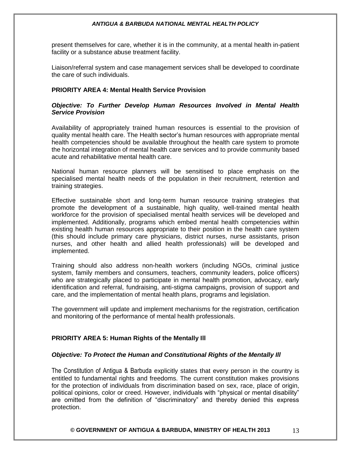present themselves for care, whether it is in the community, at a mental health in-patient facility or a substance abuse treatment facility.

Liaison/referral system and case management services shall be developed to coordinate the care of such individuals.

#### **PRIORITY AREA 4: Mental Health Service Provision**

#### *Objective: To Further Develop Human Resources Involved in Mental Health Service Provision*

Availability of appropriately trained human resources is essential to the provision of quality mental health care. The Health sector's human resources with appropriate mental health competencies should be available throughout the health care system to promote the horizontal integration of mental health care services and to provide community based acute and rehabilitative mental health care.

National human resource planners will be sensitised to place emphasis on the specialised mental health needs of the population in their recruitment, retention and training strategies.

Effective sustainable short and long-term human resource training strategies that promote the development of a sustainable, high quality, well-trained mental health workforce for the provision of specialised mental health services will be developed and implemented. Additionally, programs which embed mental health competencies within existing health human resources appropriate to their position in the health care system (this should include primary care physicians, district nurses, nurse assistants, prison nurses, and other health and allied health professionals) will be developed and implemented.

Training should also address non-health workers (including NGOs, criminal justice system, family members and consumers, teachers, community leaders, police officers) who are strategically placed to participate in mental health promotion, advocacy, early identification and referral, fundraising, anti-stigma campaigns, provision of support and care, and the implementation of mental health plans, programs and legislation.

The government will update and implement mechanisms for the registration, certification and monitoring of the performance of mental health professionals.

#### **PRIORITY AREA 5: Human Rights of the Mentally Ill**

#### *Objective: To Protect the Human and Constitutional Rights of the Mentally Ill*

The Constitution of Antigua & Barbuda explicitly states that every person in the country is entitled to fundamental rights and freedoms. The current constitution makes provisions for the protection of individuals from discrimination based on sex, race, place of origin, political opinions, color or creed. However, individuals with "physical or mental disability" are omitted from the definition of "discriminatory" and thereby denied this express protection.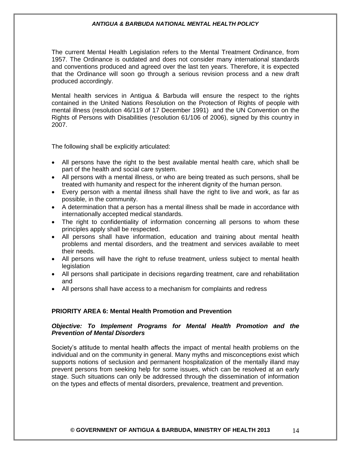The current Mental Health Legislation refers to the Mental Treatment Ordinance, from 1957. The Ordinance is outdated and does not consider many international standards and conventions produced and agreed over the last ten years. Therefore, it is expected that the Ordinance will soon go through a serious revision process and a new draft produced accordingly.

Mental health services in Antigua & Barbuda will ensure the respect to the rights contained in the United Nations Resolution on the Protection of Rights of people with mental illness (resolution 46/119 of 17 December 1991) and the UN Convention on the Rights of Persons with Disabilities (resolution 61/106 of 2006), signed by this country in 2007.

The following shall be explicitly articulated:

- All persons have the right to the best available mental health care, which shall be part of the health and social care system.
- All persons with a mental illness, or who are being treated as such persons, shall be treated with humanity and respect for the inherent dignity of the human person.
- Every person with a mental illness shall have the right to live and work, as far as possible, in the community.
- A determination that a person has a mental illness shall be made in accordance with internationally accepted medical standards.
- The right to confidentiality of information concerning all persons to whom these principles apply shall be respected.
- All persons shall have information, education and training about mental health problems and mental disorders, and the treatment and services available to meet their needs.
- All persons will have the right to refuse treatment, unless subject to mental health **legislation**
- All persons shall participate in decisions regarding treatment, care and rehabilitation and
- All persons shall have access to a mechanism for complaints and redress

#### **PRIORITY AREA 6: Mental Health Promotion and Prevention**

#### *Objective: To Implement Programs for Mental Health Promotion and the Prevention of Mental Disorders*

Society's attitude to mental health affects the impact of mental health problems on the individual and on the community in general. Many myths and misconceptions exist which supports notions of seclusion and permanent hospitalization of the mentally illand may prevent persons from seeking help for some issues, which can be resolved at an early stage. Such situations can only be addressed through the dissemination of information on the types and effects of mental disorders, prevalence, treatment and prevention.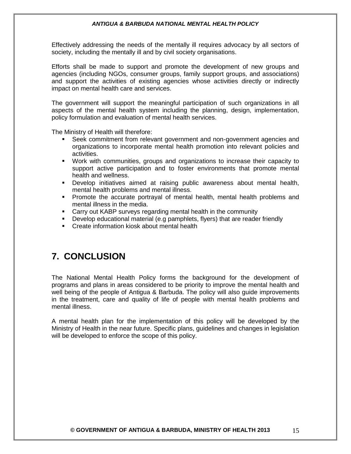Effectively addressing the needs of the mentally ill requires advocacy by all sectors of society, including the mentally ill and by civil society organisations.

Efforts shall be made to support and promote the development of new groups and agencies (including NGOs, consumer groups, family support groups, and associations) and support the activities of existing agencies whose activities directly or indirectly impact on mental health care and services.

The government will support the meaningful participation of such organizations in all aspects of the mental health system including the planning, design, implementation, policy formulation and evaluation of mental health services.

The Ministry of Health will therefore:

- Seek commitment from relevant government and non-government agencies and organizations to incorporate mental health promotion into relevant policies and activities.
- Work with communities, groups and organizations to increase their capacity to support active participation and to foster environments that promote mental health and wellness.
- Develop initiatives aimed at raising public awareness about mental health, mental health problems and mental illness.
- Promote the accurate portrayal of mental health, mental health problems and mental illness in the media.
- **EXP** Carry out KABP surveys regarding mental health in the community
- Develop educational material (e.g pamphlets, flyers) that are reader friendly
- **E.** Create information kiosk about mental health

# **7. CONCLUSION**

The National Mental Health Policy forms the background for the development of programs and plans in areas considered to be priority to improve the mental health and well being of the people of Antigua & Barbuda. The policy will also guide improvements in the treatment, care and quality of life of people with mental health problems and mental illness.

A mental health plan for the implementation of this policy will be developed by the Ministry of Health in the near future. Specific plans, guidelines and changes in legislation will be developed to enforce the scope of this policy.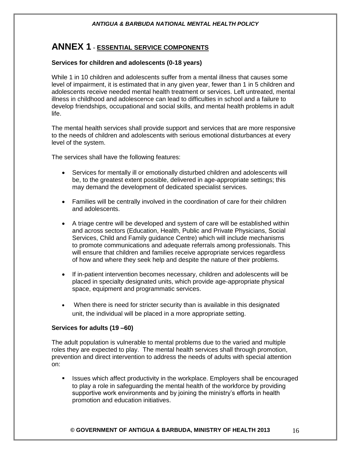# **ANNEX 1** - **ESSENTIAL SERVICE COMPONENTS**

#### **Services for children and adolescents (0-18 years)**

While 1 in 10 children and adolescents suffer from a mental illness that causes some level of impairment, it is estimated that in any given year, fewer than 1 in 5 children and adolescents receive needed mental health treatment or services. Left untreated, mental illness in childhood and adolescence can lead to difficulties in school and a failure to develop friendships, occupational and social skills, and mental health problems in adult life.

The mental health services shall provide support and services that are more responsive to the needs of children and adolescents with serious emotional disturbances at every level of the system.

The services shall have the following features:

- Services for mentally ill or emotionally disturbed children and adolescents will be, to the greatest extent possible, delivered in age-appropriate settings; this may demand the development of dedicated specialist services.
- Families will be centrally involved in the coordination of care for their children and adolescents.
- A triage centre will be developed and system of care will be established within and across sectors (Education, Health, Public and Private Physicians, Social Services, Child and Family guidance Centre) which will include mechanisms to promote communications and adequate referrals among professionals. This will ensure that children and families receive appropriate services regardless of how and where they seek help and despite the nature of their problems.
- If in-patient intervention becomes necessary, children and adolescents will be placed in specialty designated units, which provide age-appropriate physical space, equipment and programmatic services.
- When there is need for stricter security than is available in this designated unit, the individual will be placed in a more appropriate setting.

#### **Services for adults (19 –60)**

The adult population is vulnerable to mental problems due to the varied and multiple roles they are expected to play. The mental health services shall through promotion, prevention and direct intervention to address the needs of adults with special attention on:

**In Itsues which affect productivity in the workplace. Employers shall be encouraged** to play a role in safeguarding the mental health of the workforce by providing supportive work environments and by joining the ministry's efforts in health promotion and education initiatives.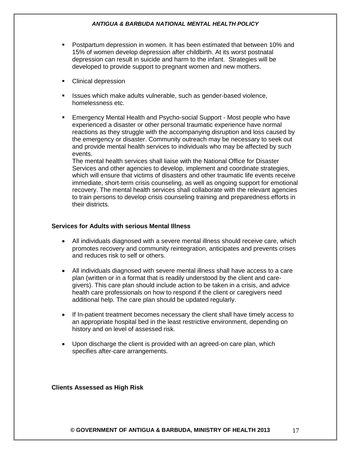- Postpartum depression in women. It has been estimated that between 10% and 15% of women develop depression after childbirth. At its worst postnatal depression can result in suicide and harm to the infant. Strategies will be developed to provide support to pregnant women and new mothers.
- Clinical depression
- **ISSUES which make adults vulnerable, such as gender-based violence,** homelessness etc.
- Emergency Mental Health and Psycho-social Support Most people who have experienced a disaster or other personal traumatic experience have normal reactions as they struggle with the accompanying disruption and loss caused by the emergency or disaster. Community outreach may be necessary to seek out and provide mental health services to individuals who may be affected by such events.

The mental health services shall liaise with the National Office for Disaster Services and other agencies to develop, implement and coordinate strategies, which will ensure that victims of disasters and other traumatic life events receive immediate, short-term crisis counseling, as well as ongoing support for emotional recovery. The mental health services shall collaborate with the relevant agencies to train persons to develop crisis counseling training and preparedness efforts in their districts.

#### **Services for Adults with serious Mental Illness**

- All individuals diagnosed with a severe mental illness should receive care, which promotes recovery and community reintegration, anticipates and prevents crises and reduces risk to self or others.
- All individuals diagnosed with severe mental illness shall have access to a care plan (written or in a format that is readily understood by the client and caregivers). This care plan should include action to be taken in a crisis, and advice health care professionals on how to respond if the client or caregivers need additional help. The care plan should be updated regularly.
- If In-patient treatment becomes necessary the client shall have timely access to an appropriate hospital bed in the least restrictive environment, depending on history and on level of assessed risk.
- Upon discharge the client is provided with an agreed-on care plan, which specifies after-care arrangements.

#### **Clients Assessed as High Risk**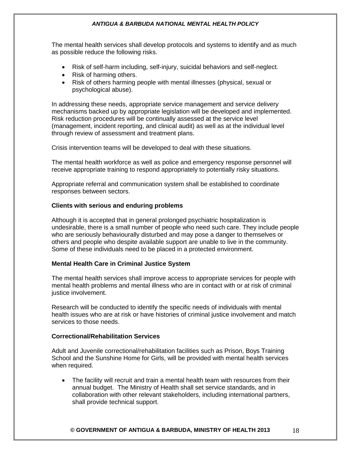The mental health services shall develop protocols and systems to identify and as much as possible reduce the following risks.

- Risk of self-harm including, self-injury, suicidal behaviors and self-neglect.
- Risk of harming others.
- Risk of others harming people with mental illnesses (physical, sexual or psychological abuse).

In addressing these needs, appropriate service management and service delivery mechanisms backed up by appropriate legislation will be developed and implemented. Risk reduction procedures will be continually assessed at the service level (management, incident reporting, and clinical audit) as well as at the individual level through review of assessment and treatment plans.

Crisis intervention teams will be developed to deal with these situations.

The mental health workforce as well as police and emergency response personnel will receive appropriate training to respond appropriately to potentially risky situations.

Appropriate referral and communication system shall be established to coordinate responses between sectors.

#### **Clients with serious and enduring problems**

Although it is accepted that in general prolonged psychiatric hospitalization is undesirable, there is a small number of people who need such care. They include people who are seriously behaviourally disturbed and may pose a danger to themselves or others and people who despite available support are unable to live in the community. Some of these individuals need to be placed in a protected environment.

#### **Mental Health Care in Criminal Justice System**

The mental health services shall improve access to appropriate services for people with mental health problems and mental illness who are in contact with or at risk of criminal justice involvement.

Research will be conducted to identify the specific needs of individuals with mental health issues who are at risk or have histories of criminal justice involvement and match services to those needs.

#### **Correctional/Rehabilitation Services**

Adult and Juvenile correctional/rehabilitation facilities such as Prison, Boys Training School and the Sunshine Home for Girls, will be provided with mental health services when required.

 The facility will recruit and train a mental health team with resources from their annual budget. The Ministry of Health shall set service standards, and in collaboration with other relevant stakeholders, including international partners, shall provide technical support.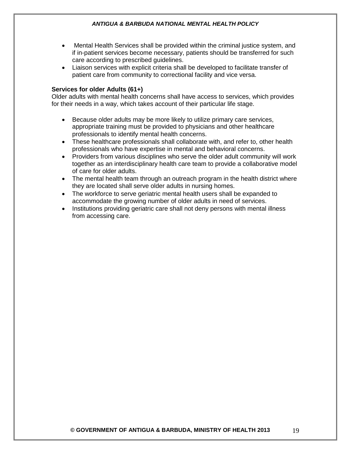- Mental Health Services shall be provided within the criminal justice system, and if in-patient services become necessary, patients should be transferred for such care according to prescribed guidelines.
- Liaison services with explicit criteria shall be developed to facilitate transfer of patient care from community to correctional facility and vice versa.

#### **Services for older Adults (61+)**

Older adults with mental health concerns shall have access to services, which provides for their needs in a way, which takes account of their particular life stage.

- Because older adults may be more likely to utilize primary care services, appropriate training must be provided to physicians and other healthcare professionals to identify mental health concerns.
- These healthcare professionals shall collaborate with, and refer to, other health professionals who have expertise in mental and behavioral concerns.
- Providers from various disciplines who serve the older adult community will work together as an interdisciplinary health care team to provide a collaborative model of care for older adults.
- The mental health team through an outreach program in the health district where they are located shall serve older adults in nursing homes.
- The workforce to serve geriatric mental health users shall be expanded to accommodate the growing number of older adults in need of services.
- Institutions providing geriatric care shall not deny persons with mental illness from accessing care.